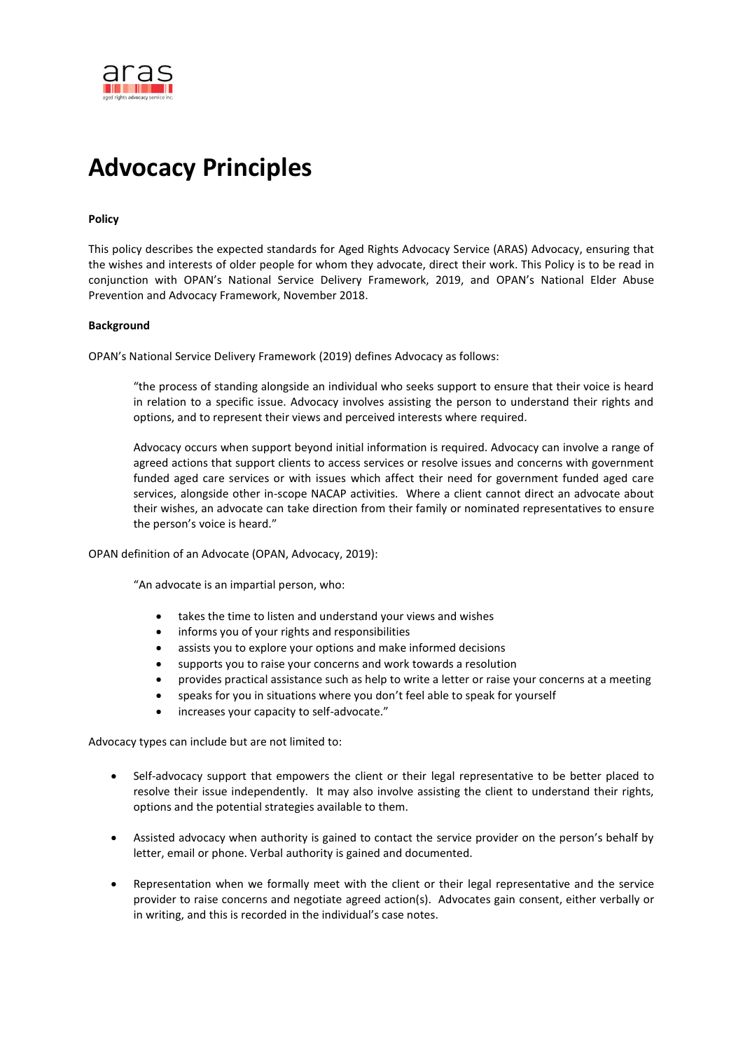

# **Advocacy Principles**

#### **Policy**

This policy describes the expected standards for Aged Rights Advocacy Service (ARAS) Advocacy, ensuring that the wishes and interests of older people for whom they advocate, direct their work. This Policy is to be read in conjunction with OPAN's National Service Delivery Framework, 2019, and OPAN's National Elder Abuse Prevention and Advocacy Framework, November 2018.

#### **Background**

OPAN's National Service Delivery Framework (2019) defines Advocacy as follows:

"the process of standing alongside an individual who seeks support to ensure that their voice is heard in relation to a specific issue. Advocacy involves assisting the person to understand their rights and options, and to represent their views and perceived interests where required.

Advocacy occurs when support beyond initial information is required. Advocacy can involve a range of agreed actions that support clients to access services or resolve issues and concerns with government funded aged care services or with issues which affect their need for government funded aged care services, alongside other in-scope NACAP activities. Where a client cannot direct an advocate about their wishes, an advocate can take direction from their family or nominated representatives to ensure the person's voice is heard."

OPAN definition of an Advocate (OPAN, Advocacy, 2019):

"An advocate is an impartial person, who:

- takes the time to listen and understand your views and wishes
- informs you of your rights and responsibilities
- assists you to explore your options and make informed decisions
- supports you to raise your concerns and work towards a resolution
- provides practical assistance such as help to write a letter or raise your concerns at a meeting
- speaks for you in situations where you don't feel able to speak for yourself
- increases your capacity to self-advocate."

Advocacy types can include but are not limited to:

- Self-advocacy support that empowers the client or their legal representative to be better placed to resolve their issue independently. It may also involve assisting the client to understand their rights, options and the potential strategies available to them.
- Assisted advocacy when authority is gained to contact the service provider on the person's behalf by letter, email or phone. Verbal authority is gained and documented.
- Representation when we formally meet with the client or their legal representative and the service provider to raise concerns and negotiate agreed action(s). Advocates gain consent, either verbally or in writing, and this is recorded in the individual's case notes.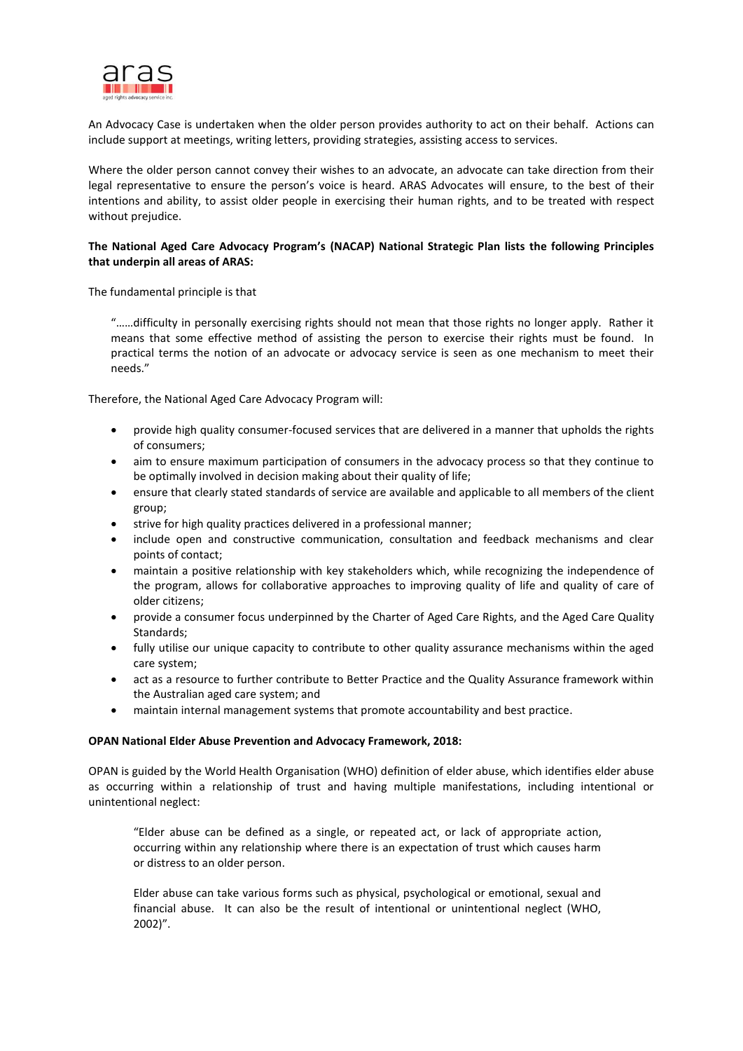

An Advocacy Case is undertaken when the older person provides authority to act on their behalf. Actions can include support at meetings, writing letters, providing strategies, assisting access to services.

Where the older person cannot convey their wishes to an advocate, an advocate can take direction from their legal representative to ensure the person's voice is heard. ARAS Advocates will ensure, to the best of their intentions and ability, to assist older people in exercising their human rights, and to be treated with respect without prejudice.

## **The National Aged Care Advocacy Program's (NACAP) National Strategic Plan lists the following Principles that underpin all areas of ARAS:**

The fundamental principle is that

"……difficulty in personally exercising rights should not mean that those rights no longer apply. Rather it means that some effective method of assisting the person to exercise their rights must be found. In practical terms the notion of an advocate or advocacy service is seen as one mechanism to meet their needs."

Therefore, the National Aged Care Advocacy Program will:

- provide high quality consumer-focused services that are delivered in a manner that upholds the rights of consumers;
- aim to ensure maximum participation of consumers in the advocacy process so that they continue to be optimally involved in decision making about their quality of life;
- ensure that clearly stated standards of service are available and applicable to all members of the client group;
- strive for high quality practices delivered in a professional manner;
- include open and constructive communication, consultation and feedback mechanisms and clear points of contact;
- maintain a positive relationship with key stakeholders which, while recognizing the independence of the program, allows for collaborative approaches to improving quality of life and quality of care of older citizens;
- provide a consumer focus underpinned by the Charter of Aged Care Rights, and the Aged Care Quality Standards;
- fully utilise our unique capacity to contribute to other quality assurance mechanisms within the aged care system;
- act as a resource to further contribute to Better Practice and the Quality Assurance framework within the Australian aged care system; and
- maintain internal management systems that promote accountability and best practice.

## **OPAN National Elder Abuse Prevention and Advocacy Framework, 2018:**

OPAN is guided by the World Health Organisation (WHO) definition of elder abuse, which identifies elder abuse as occurring within a relationship of trust and having multiple manifestations, including intentional or unintentional neglect:

"Elder abuse can be defined as a single, or repeated act, or lack of appropriate action, occurring within any relationship where there is an expectation of trust which causes harm or distress to an older person.

Elder abuse can take various forms such as physical, psychological or emotional, sexual and financial abuse. It can also be the result of intentional or unintentional neglect (WHO, 2002)".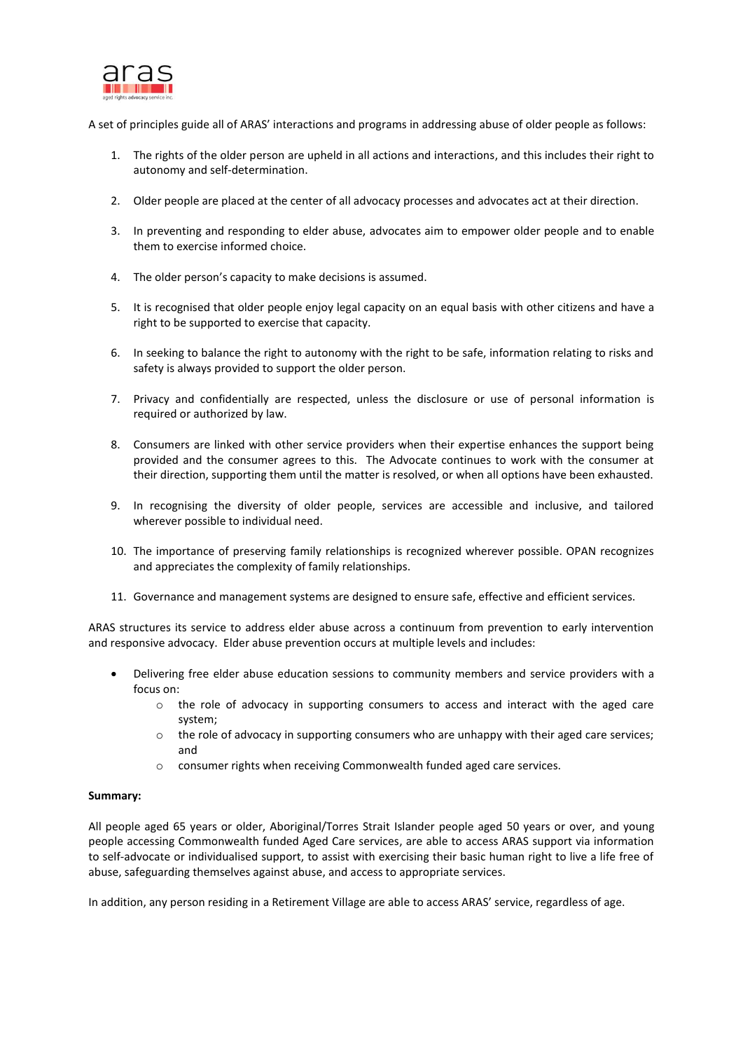

A set of principles guide all of ARAS' interactions and programs in addressing abuse of older people as follows:

- 1. The rights of the older person are upheld in all actions and interactions, and this includes their right to autonomy and self-determination.
- 2. Older people are placed at the center of all advocacy processes and advocates act at their direction.
- 3. In preventing and responding to elder abuse, advocates aim to empower older people and to enable them to exercise informed choice.
- 4. The older person's capacity to make decisions is assumed.
- 5. It is recognised that older people enjoy legal capacity on an equal basis with other citizens and have a right to be supported to exercise that capacity.
- 6. In seeking to balance the right to autonomy with the right to be safe, information relating to risks and safety is always provided to support the older person.
- 7. Privacy and confidentially are respected, unless the disclosure or use of personal information is required or authorized by law.
- 8. Consumers are linked with other service providers when their expertise enhances the support being provided and the consumer agrees to this. The Advocate continues to work with the consumer at their direction, supporting them until the matter is resolved, or when all options have been exhausted.
- 9. In recognising the diversity of older people, services are accessible and inclusive, and tailored wherever possible to individual need.
- 10. The importance of preserving family relationships is recognized wherever possible. OPAN recognizes and appreciates the complexity of family relationships.
- 11. Governance and management systems are designed to ensure safe, effective and efficient services.

ARAS structures its service to address elder abuse across a continuum from prevention to early intervention and responsive advocacy. Elder abuse prevention occurs at multiple levels and includes:

- Delivering free elder abuse education sessions to community members and service providers with a focus on:
	- $\circ$  the role of advocacy in supporting consumers to access and interact with the aged care system;
	- $\circ$  the role of advocacy in supporting consumers who are unhappy with their aged care services; and
	- o consumer rights when receiving Commonwealth funded aged care services.

## **Summary:**

All people aged 65 years or older, Aboriginal/Torres Strait Islander people aged 50 years or over, and young people accessing Commonwealth funded Aged Care services, are able to access ARAS support via information to self-advocate or individualised support, to assist with exercising their basic human right to live a life free of abuse, safeguarding themselves against abuse, and access to appropriate services.

In addition, any person residing in a Retirement Village are able to access ARAS' service, regardless of age.